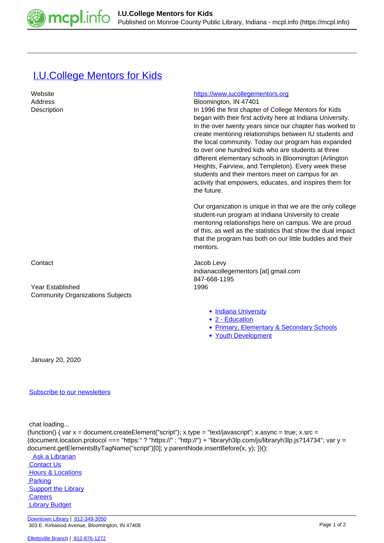

## **[I.U.College Mentors for Kids](https://mcpl.info/commorg/iucollege-mentors-kids)**

| Website<br>Address<br>Description                                  | https://www.iucollegementors.org<br>Bloomington, IN 47401<br>In 1996 the first chapter of College Mentors for Kids<br>began with their first activity here at Indiana University.<br>In the over twenty years since our chapter has worked to                                                                                                                                                                      |
|--------------------------------------------------------------------|--------------------------------------------------------------------------------------------------------------------------------------------------------------------------------------------------------------------------------------------------------------------------------------------------------------------------------------------------------------------------------------------------------------------|
|                                                                    | create mentoring relationships between IU students and<br>the local community. Today our program has expanded<br>to over one hundred kids who are students at three<br>different elementary schools in Bloomington (Arlington<br>Heights, Fairview, and Templeton). Every week these<br>students and their mentors meet on campus for an<br>activity that empowers, educates, and inspires them for<br>the future. |
|                                                                    | Our organization is unique in that we are the only college<br>student-run program at Indiana University to create<br>mentoring relationships here on campus. We are proud<br>of this, as well as the statistics that show the dual impact<br>that the program has both on our little buddies and their<br>mentors.                                                                                                 |
| Contact                                                            | Jacob Levy<br>indianacollegementors [at] gmail.com<br>847-668-1195                                                                                                                                                                                                                                                                                                                                                 |
| <b>Year Established</b><br><b>Community Organizations Subjects</b> | 1996                                                                                                                                                                                                                                                                                                                                                                                                               |
|                                                                    | • Indiana University<br>• 2 - Education<br>• Primary, Elementary & Secondary Schools<br>• Youth Development                                                                                                                                                                                                                                                                                                        |
| January 20, 2020                                                   |                                                                                                                                                                                                                                                                                                                                                                                                                    |

[Subscribe to our newsletters](https://mcpl.info/geninfo/subscribe-think-library-newsletter)

chat loading...

(function() { var  $x =$  document.createElement("script");  $x.$ type = "text/javascript";  $x.$ async = true;  $x.$ src = (document.location.protocol === "https:" ? "https://" : "http://") + "libraryh3lp.com/js/libraryh3lp.js?14734"; var y = document.getElementsByTagName("script")[0]; y.parentNode.insertBefore(x, y); })();

Ask a Librarian **Contact Us Hours & Locations Parking Support the Library Careers Library Budget**